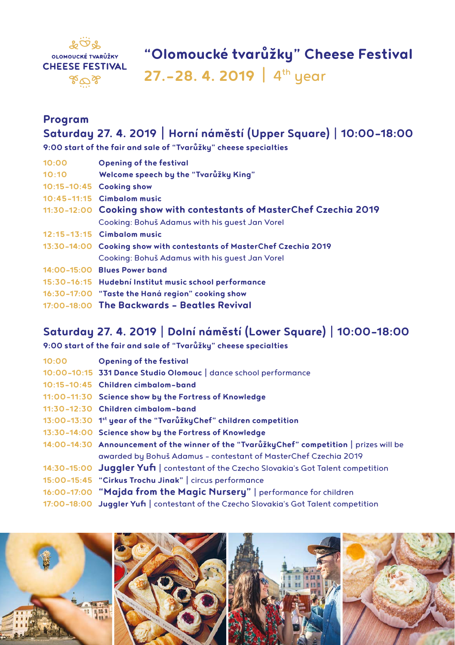

### **Program Saturday 27. 4. 2019** | **Horní náměstí (Upper Square)** | **10:00–18:00**

**9:00 start of the fair and sale of "Tvarůžky" cheese specialties**

| 10:00 | <b>Opening of the festival</b>                                       |
|-------|----------------------------------------------------------------------|
| 10:10 | Welcome speech by the "Tvarůžky King"                                |
|       | 10:15-10:45 Cooking show                                             |
|       | 10:45-11:15 Cimbalom music                                           |
|       | 11:30-12:00 Cooking show with contestants of MasterChef Czechia 2019 |
|       | Cooking: Bohuš Adamus with his quest Jan Vorel                       |
|       | 12:15-13:15 Cimbalom music                                           |
|       | 13:30-14:00 Cooking show with contestants of MasterChef Czechia 2019 |
|       | Cooking: Bohuš Adamus with his quest Jan Vorel                       |
|       | 14:00-15:00 Blues Power band                                         |
|       | 15:30-16:15 Hudební Institut music school performance                |
|       | 16:30-17:00 "Taste the Haná region" cooking show                     |
|       | 17:00-18:00 The Backwards - Beatles Revival                          |
|       |                                                                      |

## **Saturday 27. 4. 2019** | **Dolní náměstí (Lower Square)** | **10:00–18:00**

**9:00 start of the fair and sale of "Tvarůžky" cheese specialties**

| 10:00 | <b>Opening of the festival</b>                                                            |
|-------|-------------------------------------------------------------------------------------------|
|       | 10:00-10:15 331 Dance Studio Olomouc   dance school performance                           |
|       | 10:15-10:45 Children cimbalom-band                                                        |
|       | 11:00-11:30 Science show by the Fortress of Knowledge                                     |
|       | 11:30-12:30 Children cimbalom-band                                                        |
|       | 13:00–13:30 1 <sup>st</sup> year of the "TvarůžkyChef" children competition               |
|       | 13:30-14:00 Science show by the Fortress of Knowledge                                     |
|       | 14:00-14:30 Announcement of the winner of the "TvarůžkyChef" competition   prizes will be |
|       | awarded by Bohuš Adamus - contestant of MasterChef Czechia 2019                           |
|       | 14:30-15:00 Juggler Yufi   contestant of the Czecho Slovakia's Got Talent competition     |
|       | 15:00-15:45 "Cirkus Trochu Jinak"   circus performance                                    |
|       | 16:00-17:00 "Majda from the Magic Nursery"   performance for children                     |
|       | 17:00-18:00 Juggler Yufi   contestant of the Czecho Slovakia's Got Talent competition     |
|       |                                                                                           |